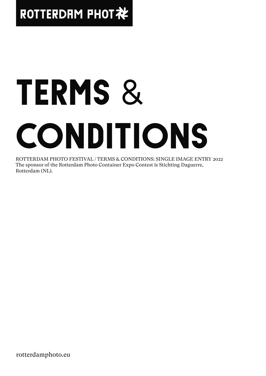# ROTTERDRM PHOT社

# TERMS & CONDITIONS

ROTTERDAM PHOTO FESTIVAL / TERMS & CONDITIONS: SINGLE IMAGE ENTRY 2022 The sponsor of the Rotterdam Photo Container Expo Contest is Stichting Daguerre, Rotterdam (NL).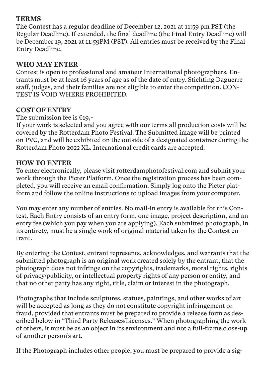# **TERMS**

The Contest has a regular deadline of December 12, 2021 at 11:59 pm PST (the Regular Deadline). If extended, the final deadline (the Final Entry Deadline) will be December 19, 2021 at 11:59PM (PST). All entries must be received by the Final Entry Deadline.

# **WHO MAY ENTER**

Contest is open to professional and amateur International photographers. Entrants must be at least 16 years of age as of the date of entry. Stichting Daguerre staff, judges, and their families are not eligible to enter the competition. CON-TEST IS VOID WHERE PROHIBITED.

# **COST OF ENTRY**

The submission fee is  $\epsilon$ 19,-

If your work is selected and you agree with our terms all production costs will be covered by the Rotterdam Photo Festival. The Submitted image will be printed on PVC, and will be exhibited on the outside of a designated container during the Rotterdam Photo 2022 XL. International credit cards are accepted.

# **HOW TO ENTER**

To enter electronically, please visit rotterdamphotofestival.com and submit your work through the Picter Platform. Once the registration process has been completed, you will receive an email confirmation. Simply log onto the Picter platform and follow the online instructions to upload images from your computer.

You may enter any number of entries. No mail-in entry is available for this Contest. Each Entry consists of an entry form, one image, project description, and an entry fee (which you pay when you are applying). Each submitted photograph, in its entirety, must be a single work of original material taken by the Contest entrant.

By entering the Contest, entrant represents, acknowledges, and warrants that the submitted photograph is an original work created solely by the entrant, that the photograph does not infringe on the copyrights, trademarks, moral rights, rights of privacy/publicity, or intellectual property rights of any person or entity, and that no other party has any right, title, claim or interest in the photograph.

Photographs that include sculptures, statues, paintings, and other works of art will be accepted as long as they do not constitute copyright infringement or fraud, provided that entrants must be prepared to provide a release form as described below in "Third Party Releases/Licenses." When photographing the work of others, it must be as an object in its environment and not a full-frame close-up of another person's art.

If the Photograph includes other people, you must be prepared to provide a sig-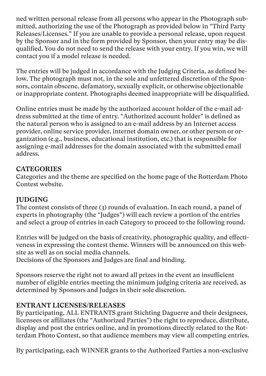ned written personal release from all persons who appear in the Photograph submitted, authorizing the use of the Photograph as provided below in "Third Party Releases/Licenses." If you are unable to provide a personal release, upon request by the Sponsor and in the form provided by Sponsor, then your entry may be disqualified. You do not need to send the release with your entry. If you win, we will contact you if a model release is needed.

The entries will be judged in accordance with the Judging Criteria, as defined below. The photograph must not, in the sole and unfettered discretion of the Sponsors, contain obscene, defamatory, sexually explicit, or otherwise objectionable or inappropriate content. Photographs deemed inappropriate will be disqualified.

Online entries must be made by the authorized account holder of the e-mail address submitted at the time of entry. "Authorized account holder" is defined as the natural person who is assigned to an e-mail address by an Internet access provider, online service provider, internet domain owner, or other person or organization (e.g., business, educational institution, etc.) that is responsible for assigning e-mail addresses for the domain associated with the submitted email address.

#### **CATEGORIES**

Categories and the theme are specified on the home page of the Rotterdam Photo Contest website.

#### **JUDGING**

The contest consists of three (3) rounds of evaluation. In each round, a panel of experts in photography (the "Judges") will each review a portion of the entries and select a group of entries in each Category to proceed to the following round.

Entries will be judged on the basis of creativity, photographic quality, and effectiveness in expressing the contest theme. Winners will be announced on this website as well as on social media channels.

Decisions of the Sponsors and Judges are final and binding.

Sponsors reserve the right not to award all prizes in the event an insufficient number of eligible entries meeting the minimum judging criteria are received, as determined by Sponsors and Judges in their sole discretion.

# **ENTRANT LICENSES/RELEASES**

By participating, ALL ENTRANTS grant Stichting Daguerre and their designees, licensees or affiliates (the "Authorized Parties") the right to reproduce, distribute, display and post the entries online, and in promotions directly related to the Rotterdam Photo Contest, so that audience members may view all competing entries.

By participating, each WINNER grants to the Authorized Parties a non-exclusive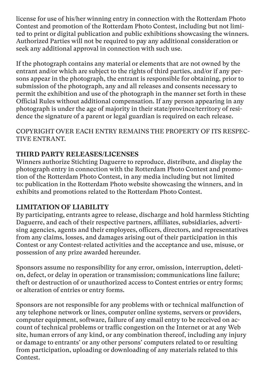license for use of his/her winning entry in connection with the Rotterdam Photo Contest and promotion of the Rotterdam Photo Contest, including but not limited to print or digital publication and public exhibitions showcasing the winners. Authorized Parties will not be required to pay any additional consideration or seek any additional approval in connection with such use.

If the photograph contains any material or elements that are not owned by the entrant and/or which are subject to the rights of third parties, and/or if any persons appear in the photograph, the entrant is responsible for obtaining, prior to submission of the photograph, any and all releases and consents necessary to permit the exhibition and use of the photograph in the manner set forth in these Official Rules without additional compensation. If any person appearing in any photograph is under the age of majority in their state/province/territory of residence the signature of a parent or legal guardian is required on each release.

COPYRIGHT OVER EACH ENTRY REMAINS THE PROPERTY OF ITS RESPEC-TIVE ENTRANT.

# **THIRD PARTY RELEASES/LICENSES**

Winners authorize Stichting Daguerre to reproduce, distribute, and display the photograph entry in connection with the Rotterdam Photo Contest and promotion of the Rotterdam Photo Contest, in any media including but not limited to: publication in the Rotterdam Photo website showcasing the winners, and in exhibits and promotions related to the Rotterdam Photo Contest.

# **LIMITATION OF LIABILITY**

By participating, entrants agree to release, discharge and hold harmless Stichting Daguerre, and each of their respective partners, affiliates, subsidiaries, advertising agencies, agents and their employees, officers, directors, and representatives from any claims, losses, and damages arising out of their participation in this Contest or any Contest-related activities and the acceptance and use, misuse, or possession of any prize awarded hereunder.

Sponsors assume no responsibility for any error, omission, interruption, deletion, defect, or delay in operation or transmission; communications line failure; theft or destruction of or unauthorized access to Contest entries or entry forms; or alteration of entries or entry forms.

Sponsors are not responsible for any problems with or technical malfunction of any telephone network or lines, computer online systems, servers or providers, computer equipment, software, failure of any email entry to be received on account of technical problems or traffic congestion on the Internet or at any Web site, human errors of any kind, or any combination thereof, including any injury or damage to entrants' or any other persons' computers related to or resulting from participation, uploading or downloading of any materials related to this Contest.